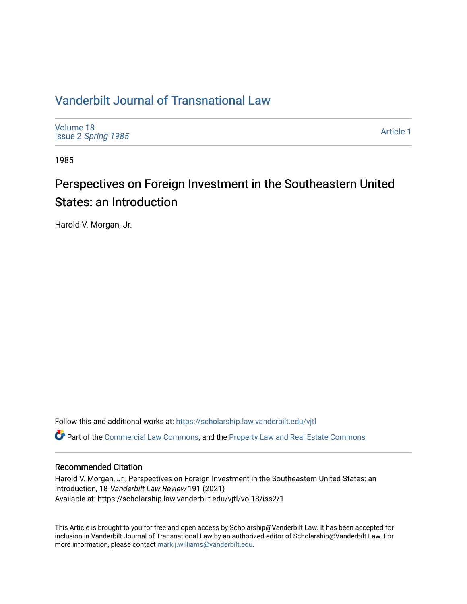### [Vanderbilt Journal of Transnational Law](https://scholarship.law.vanderbilt.edu/vjtl)

[Volume 18](https://scholarship.law.vanderbilt.edu/vjtl/vol18) Issue 2 [Spring 1985](https://scholarship.law.vanderbilt.edu/vjtl/vol18/iss2) 

[Article 1](https://scholarship.law.vanderbilt.edu/vjtl/vol18/iss2/1) 

1985

# Perspectives on Foreign Investment in the Southeastern United States: an Introduction

Harold V. Morgan, Jr.

Follow this and additional works at: [https://scholarship.law.vanderbilt.edu/vjtl](https://scholarship.law.vanderbilt.edu/vjtl?utm_source=scholarship.law.vanderbilt.edu%2Fvjtl%2Fvol18%2Fiss2%2F1&utm_medium=PDF&utm_campaign=PDFCoverPages)  Part of the [Commercial Law Commons](http://network.bepress.com/hgg/discipline/586?utm_source=scholarship.law.vanderbilt.edu%2Fvjtl%2Fvol18%2Fiss2%2F1&utm_medium=PDF&utm_campaign=PDFCoverPages), and the [Property Law and Real Estate Commons](http://network.bepress.com/hgg/discipline/897?utm_source=scholarship.law.vanderbilt.edu%2Fvjtl%2Fvol18%2Fiss2%2F1&utm_medium=PDF&utm_campaign=PDFCoverPages)

### Recommended Citation

Harold V. Morgan, Jr., Perspectives on Foreign Investment in the Southeastern United States: an Introduction, 18 Vanderbilt Law Review 191 (2021) Available at: https://scholarship.law.vanderbilt.edu/vjtl/vol18/iss2/1

This Article is brought to you for free and open access by Scholarship@Vanderbilt Law. It has been accepted for inclusion in Vanderbilt Journal of Transnational Law by an authorized editor of Scholarship@Vanderbilt Law. For more information, please contact [mark.j.williams@vanderbilt.edu](mailto:mark.j.williams@vanderbilt.edu).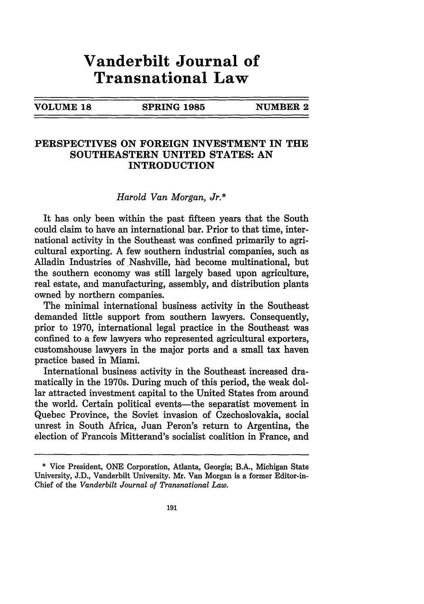## **Vanderbilt Journal of Transnational Law**

| <b>VOLUME 18</b> |  |
|------------------|--|
|------------------|--|

**SPRING 1985 NUMBER 2** 

#### **PERSPECTIVES ON FOREIGN INVESTMENT IN THE SOUTHEASTERN UNITED STATES: AN INTRODUCTION**

#### *Harold Van Morgan, Jr.\**

It has only been within the past fifteen years that the South could claim to have an international bar. Prior to that time, international activity in the Southeast was confined primarily to agricultural exporting. A few southern industrial companies, such as Alladin Industries of Nashville, had become multinational, but the southern economy was still largely based upon agriculture, real estate, and manufacturing, assembly, and distribution plants owned by northern companies.

The minimal international business activity in the Southeast demanded little support from southern lawyers. Consequently, prior to 1970, international legal practice in the Southeast was confined to a few lawyers who represented agricultural exporters, customshouse lawyers in the major ports and a small tax haven practice based in Miami.

International business activity in the Southeast increased dramatically in the 1970s. During much of this period, the weak dollar attracted investment capital to the United States from around the world. Certain political events—the separatist movement in Quebec Province, the Soviet invasion of Czechoslovakia, social unrest in South Africa, Juan Peron's return to Argentina, the election of Francois Mitterand's socialist coalition in France, and

<sup>\*</sup> Vice President, ONE Corporation, Atlanta, Georgia; B.A., Michigan State University, J.D., Vanderbilt University. Mr. Van Morgan is a former Editor-in-Chief of the *Vanderbilt Journal of Transnational Law.*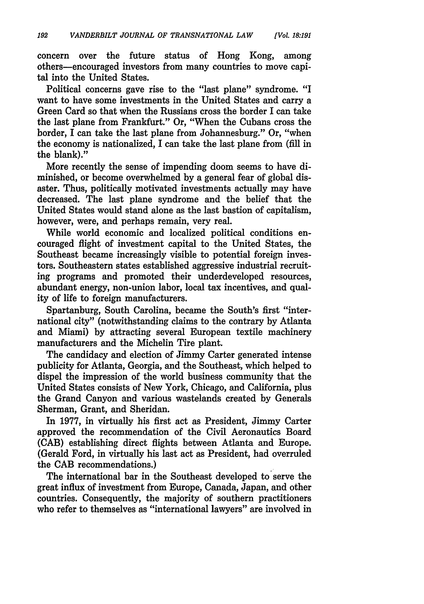concern over the future status of Hong Kong, among others-encouraged investors from many countries to move capital into the United States.

Political concerns gave rise to the "last plane" syndrome. "I want to have some investments in the United States and carry a Green Card so that when the Russians cross the border I can take the last plane from Frankfurt." Or, "When the Cubans cross the border, I can take the last plane from Johannesburg." Or, "when the economy is nationalized, I can take the last plane from (fill in the blank)."

More recently the sense of impending doom seems to have diminished, or become overwhelmed by a general fear of global disaster. Thus, politically motivated investments actually may have decreased. The last plane syndrome and the belief that the United States would stand alone as the last bastion of capitalism, however, were, and perhaps remain, very real.

While world economic and localized political conditions encouraged flight of investment capital to the United States, the Southeast became increasingly visible to potential foreign investors. Southeastern states established aggressive industrial recruiting programs and promoted their underdeveloped resources, abundant energy, non-union labor, local tax incentives, and quality of life to foreign manufacturers.

Spartanburg, South Carolina, became the South's first "international city" (notwithstanding claims to the contrary by Atlanta and Miami) by attracting several European textile machinery manufacturers and the Michelin Tire plant.

The candidacy and election of Jimmy Carter generated intense publicity for Atlanta, Georgia, and the Southeast, which helped to dispel the impression of the world business community that the United States consists of New York, Chicago, and California, plus the Grand Canyon and various wastelands created by Generals Sherman, Grant, and Sheridan.

In 1977, in virtually his first act as President, Jimmy Carter approved the recommendation of the Civil Aeronautics Board (CAB) establishing direct flights between Atlanta and Europe. (Gerald Ford, in virtually his last act as President, had overruled the CAB recommendations.)

The international bar in the Southeast developed to serve the great influx of investment from Europe, Canada, Japan, and other countries. Consequently, the majority of southern practitioners who refer to themselves as "international lawyers" are involved in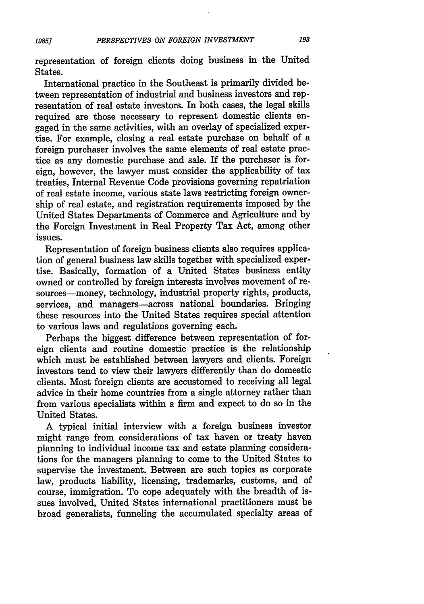representation of foreign clients doing business in the United States.

International practice in the Southeast is primarily divided between representation of industrial and business investors and representation of real estate investors. In both cases, the legal skills required are those necessary to represent domestic clients engaged in the same activities, with an overlay of specialized expertise. For example, closing a real estate purchase on behalf of a foreign purchaser involves the same elements of real estate practice as any domestic purchase and sale. If the purchaser is foreign, however, the lawyer must consider the applicability of tax treaties, Internal Revenue Code provisions governing repatriation of real estate income, various state laws restricting foreign ownership of real estate, and registration requirements imposed by the United States Departments of Commerce and Agriculture and by the Foreign Investment in Real Property Tax Act, among other issues.

Representation of foreign business clients also requires application of general business law skills together with specialized expertise. Basically, formation of a United States business entity owned or controlled by foreign interests involves movement of resources-money, technology, industrial property rights, products, services, and managers-across national boundaries. Bringing these resources into the United States requires special attention to various laws and regulations governing each.

Perhaps the biggest difference between representation of foreign clients and routine domestic practice is the relationship which must be established between lawyers and clients. Foreign investors tend to view their lawyers differently than do domestic clients. Most foreign clients are accustomed to receiving all legal advice in their home countries from a single attorney rather than from various specialists within a firm and expect to do so in the United States.

A typical initial interview with a foreign business investor might range from considerations of tax haven or treaty haven planning to individual income tax and estate planning considerations for the managers planning to come to the United States to supervise the investment. Between are such topics as corporate law, products liability, licensing, trademarks, customs, and of course, immigration. To cope adequately with the breadth of issues involved, United States international practitioners must be broad generalists, funneling the accumulated specialty areas of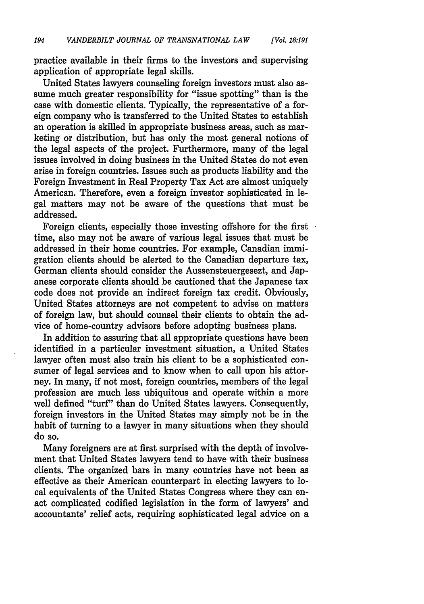practice available in their firms to the investors and supervising application of appropriate legal skills.

United States lawyers counseling foreign investors must also assume much greater responsibility for "issue spotting" than is the case with domestic clients. Typically, the representative of a foreign company who is transferred to the United States to establish an operation is skilled in appropriate business areas, such as marketing or distribution, but has only the most general notions of the legal aspects of the project. Furthermore, many of the legal issues involved in doing business in the United States do not even arise in foreign countries. Issues such as products liability and the Foreign Investment in Real Property Tax Act are almost uniquely American. Therefore, even a foreign investor sophisticated in legal matters may not be aware of the questions that must be addressed.

Foreign clients, especially those investing offshore for the first time, also may not be aware of various legal issues that must be addressed in their home countries. For example, Canadian immigration clients should be alerted to the Canadian departure tax, German clients should consider the Aussensteuergesezt, and Japanese corporate clients should be cautioned that the Japanese tax code does not provide an indirect foreign tax credit. Obviously, United States attorneys are not competent to advise on matters of foreign law, but should counsel their clients to obtain the advice of home-country advisors before adopting business plans.

In addition to assuring that all appropriate questions have been identified in a particular investment situation, a United States lawyer often must also train his client to be a sophisticated consumer of legal services and to know when to call upon his attorney. In many, if not most, foreign countries, members of the legal profession are much less ubiquitous and operate within a more well defined "turf" than do United States lawyers. Consequently, foreign investors in the United States may simply not be in the habit of turning to a lawyer in many situations when they should do so.

Many foreigners are at first surprised with the depth of involvement that United States lawyers tend to have with their business clients. The organized bars in many countries have not been as effective as their American counterpart in electing lawyers to local equivalents of the United States Congress where they can enact complicated codified legislation in the form of lawyers' and accountants' relief acts, requiring sophisticated legal advice on a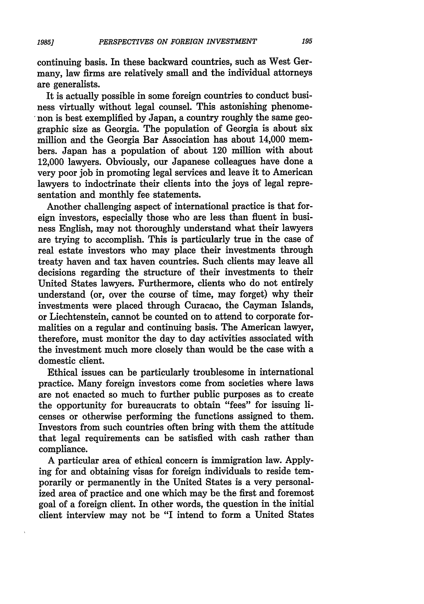continuing basis. In these backward countries, such as West Germany, law firms are relatively small and the individual attorneys are generalists.

It is actually possible in some foreign countries to conduct business virtually without legal counsel. This astonishing phenomenon is best exemplified by Japan, a country roughly the same geographic size as Georgia. The population of Georgia is about six million and the Georgia Bar Association has about 14,000 members. Japan has a population of about 120 million with about 12,000 lawyers. Obviously, our Japanese colleagues have done a very poor job in promoting legal services and leave it to American lawyers to indoctrinate their clients into the joys of legal representation and monthly fee statements.

Another challenging aspect of international practice is that foreign investors, especially those who are less than fluent in business English, may not thoroughly understand what their lawyers are trying to accomplish. This is particularly true in the case of real estate investors who may place their investments through treaty haven and tax haven countries. Such clients may leave all decisions regarding the structure of their investments to their United States lawyers. Furthermore, clients who do not entirely understand (or, over the course of time, may forget) why their investments were placed through Curacao, the Cayman Islands, or Liechtenstein, cannot be counted on to attend to corporate formalities on a regular and continuing basis. The American lawyer, therefore, must monitor the day to day activities associated with the investment much more closely than would be the case with a domestic client.

Ethical issues can be particularly troublesome in international practice. Many foreign investors come from societies where laws are not enacted so much to further public purposes as to create the opportunity for bureaucrats to obtain "fees" for issuing licenses or otherwise performing the functions assigned to them. Investors from such countries often bring with them the attitude that legal requirements can be satisfied with cash rather than compliance.

A particular area of ethical concern is immigration law. Applying for and obtaining visas for foreign individuals to reside temporarily or permanently in the United States is a very personalized area of practice and one which may be the first and foremost goal of a foreign client. In other words, the question in the initial client interview may not be "I intend to form a United States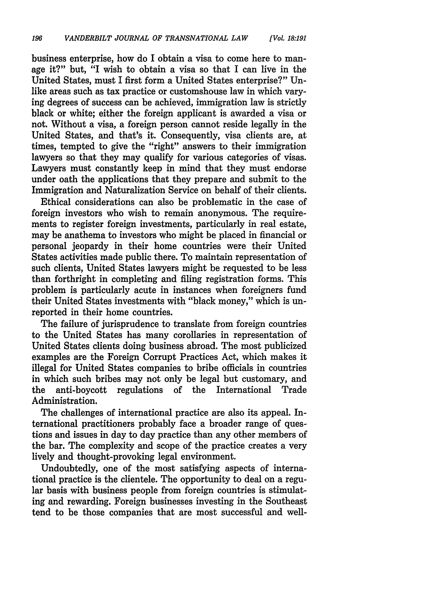business enterprise, how do I obtain a visa to come here to manage it?" but, "I wish to obtain a visa so that I can live in the United States, must I first form a United States enterprise?" Unlike areas such as tax practice or customshouse law in which varying degrees of success can be achieved, immigration law is strictly black or white; either the foreign applicant is awarded a visa or not. Without a visa, a foreign person cannot reside legally in the United States, and that's it. Consequently, visa clients are, at times, tempted to give the "right" answers to their immigration lawyers so that they may qualify for various categories of visas. Lawyers must constantly keep in mind that they must endorse under oath the applications that they prepare and submit to the Immigration and Naturalization Service on behalf of their clients.

Ethical considerations can also be problematic in the case of foreign investors who wish to remain anonymous. The requirements to register foreign investments, particularly in real estate, may be anathema to investors who might be placed in financial or personal jeopardy in their home countries were their United States activities made public there. To maintain representation of such clients, United States lawyers might be requested to be less than forthright in completing and filing registration forms. This problem is particularly acute in instances when foreigners fund their United States investments with "black money," which is unreported in their home countries.

The failure of jurisprudence to translate from foreign countries to the United States has many corollaries in representation of United States clients doing business abroad. The most publicized examples are the Foreign Corrupt Practices Act, which makes it illegal for United States companies to bribe officials in countries in which such bribes may not only be legal but customary, and the anti-boycott regulations of the International Trade Administration.

The challenges of international practice are also its appeal. International practitioners probably face a broader range of questions and issues in day to day practice than any other members of the bar. The complexity and scope of the practice creates a very lively and thought-provoking legal environment.

Undoubtedly, one of the most satisfying aspects of international practice is the clientele. The opportunity to deal on a regular basis with business people from foreign countries is stimulating and rewarding. Foreign businesses investing in the Southeast tend to be those companies that are most successful and well